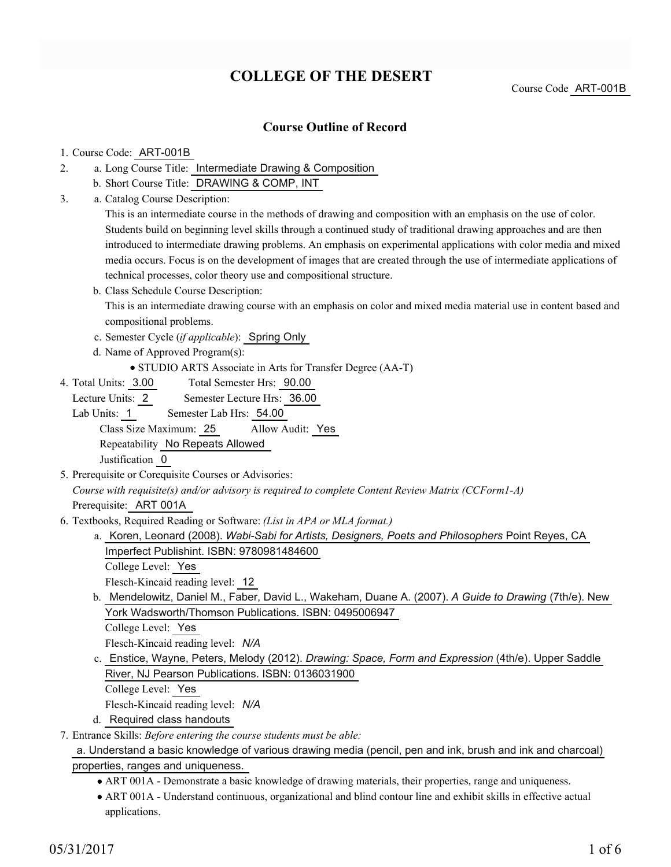# **COLLEGE OF THE DESERT**

Course Code ART-001B

## **Course Outline of Record**

#### 1. Course Code: ART-001B

- a. Long Course Title: Intermediate Drawing & Composition 2.
	- b. Short Course Title: DRAWING & COMP, INT
- Catalog Course Description: a. 3.

This is an intermediate course in the methods of drawing and composition with an emphasis on the use of color. Students build on beginning level skills through a continued study of traditional drawing approaches and are then introduced to intermediate drawing problems. An emphasis on experimental applications with color media and mixed media occurs. Focus is on the development of images that are created through the use of intermediate applications of technical processes, color theory use and compositional structure.

- b. Class Schedule Course Description: This is an intermediate drawing course with an emphasis on color and mixed media material use in content based and compositional problems.
- c. Semester Cycle (*if applicable*): Spring Only
- d. Name of Approved Program(s):
	- STUDIO ARTS Associate in Arts for Transfer Degree (AA-T)
- Total Semester Hrs: 90.00 4. Total Units: 3.00

Lecture Units: 2 Semester Lecture Hrs: 36.00

Lab Units: 1 Semester Lab Hrs: 54.00 Class Size Maximum: 25 Allow Audit: Yes

Repeatability No Repeats Allowed

Justification 0

- 5. Prerequisite or Corequisite Courses or Advisories: *Course with requisite(s) and/or advisory is required to complete Content Review Matrix (CCForm1-A)* Prerequisite: ART 001A
- Textbooks, Required Reading or Software: *(List in APA or MLA format.)* 6.
	- a. Koren, Leonard (2008). *Wabi-Sabi for Artists, Designers, Poets and Philosophers* Point Reyes, CA Imperfect Publishint. ISBN: 9780981484600
		- College Level: Yes

Flesch-Kincaid reading level: 12

b. Mendelowitz, Daniel M., Faber, David L., Wakeham, Duane A. (2007). A Guide to Drawing (7th/e). New York Wadsworth/Thomson Publications. ISBN: 0495006947

College Level: Yes

Flesch-Kincaid reading level: *N/A*

c. Enstice, Wayne, Peters, Melody (2012). *Drawing: Space, Form and Expression* (4th/e). Upper Saddle River, NJ Pearson Publications. ISBN: 0136031900

College Level: Yes

- Flesch-Kincaid reading level: *N/A*
- d. Required class handouts

Entrance Skills: *Before entering the course students must be able:* 7.

### a. Understand a basic knowledge of various drawing media (pencil, pen and ink, brush and ink and charcoal) properties, ranges and uniqueness.

- ART 001A Demonstrate a basic knowledge of drawing materials, their properties, range and uniqueness.
- ART 001A Understand continuous, organizational and blind contour line and exhibit skills in effective actual applications.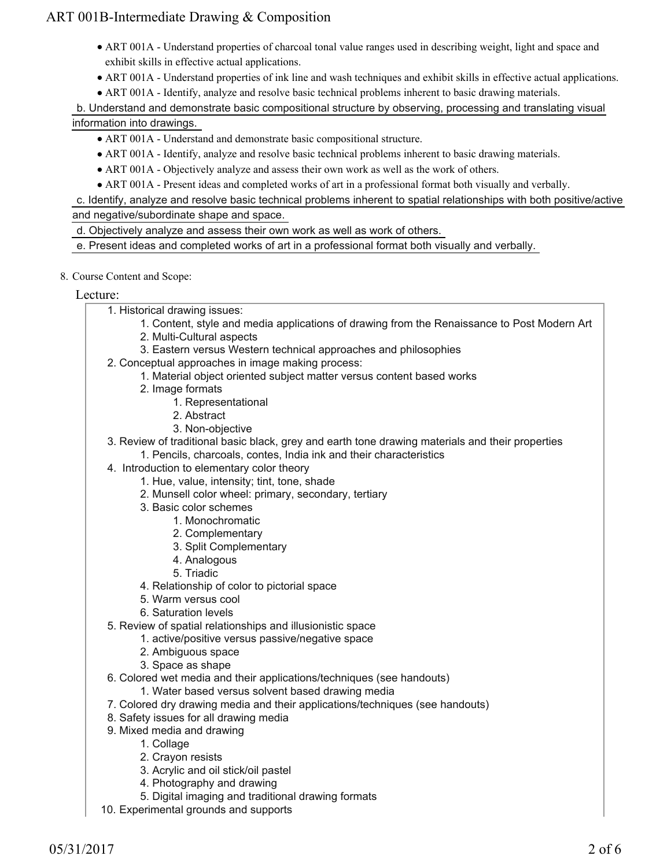- ART 001A Understand properties of charcoal tonal value ranges used in describing weight, light and space and exhibit skills in effective actual applications.
- ART 001A Understand properties of ink line and wash techniques and exhibit skills in effective actual applications.
- ART 001A Identify, analyze and resolve basic technical problems inherent to basic drawing materials.

b. Understand and demonstrate basic compositional structure by observing, processing and translating visual information into drawings.

## ART 001A - Understand and demonstrate basic compositional structure.

- ART 001A Identify, analyze and resolve basic technical problems inherent to basic drawing materials.
- ART 001A Objectively analyze and assess their own work as well as the work of others.
- ART 001A Present ideas and completed works of art in a professional format both visually and verbally.

c. Identify, analyze and resolve basic technical problems inherent to spatial relationships with both positive/active and negative/subordinate shape and space.

d. Objectively analyze and assess their own work as well as work of others.

e. Present ideas and completed works of art in a professional format both visually and verbally.

### 8. Course Content and Scope:

## Lecture:

- 1. Historical drawing issues:
	- 1. Content, style and media applications of drawing from the Renaissance to Post Modern Art
	- 2. Multi-Cultural aspects
	- 3. Eastern versus Western technical approaches and philosophies
- 2. Conceptual approaches in image making process:
	- 1. Material object oriented subject matter versus content based works
		- 2. Image formats
			- 1. Representational
			- 2. Abstract
			- 3. Non-objective
- 3. Review of traditional basic black, grey and earth tone drawing materials and their properties
	- 1. Pencils, charcoals, contes, India ink and their characteristics
- 4. Introduction to elementary color theory
	- 1. Hue, value, intensity; tint, tone, shade
	- 2. Munsell color wheel: primary, secondary, tertiary
	- 3. Basic color schemes
		- 1. Monochromatic
		- 2. Complementary
		- 3. Split Complementary
		- 4. Analogous
		- 5. Triadic
	- 4. Relationship of color to pictorial space
	- 5. Warm versus cool
	- 6. Saturation levels
- 5. Review of spatial relationships and illusionistic space
	- 1. active/positive versus passive/negative space
	- 2. Ambiguous space
	- 3. Space as shape
- 6. Colored wet media and their applications/techniques (see handouts)
	- 1. Water based versus solvent based drawing media
- 7. Colored dry drawing media and their applications/techniques (see handouts)
- 8. Safety issues for all drawing media
- 9. Mixed media and drawing
	- 1. Collage
	- 2. Crayon resists
	- 3. Acrylic and oil stick/oil pastel
	- 4. Photography and drawing
	- 5. Digital imaging and traditional drawing formats
- 10. Experimental grounds and supports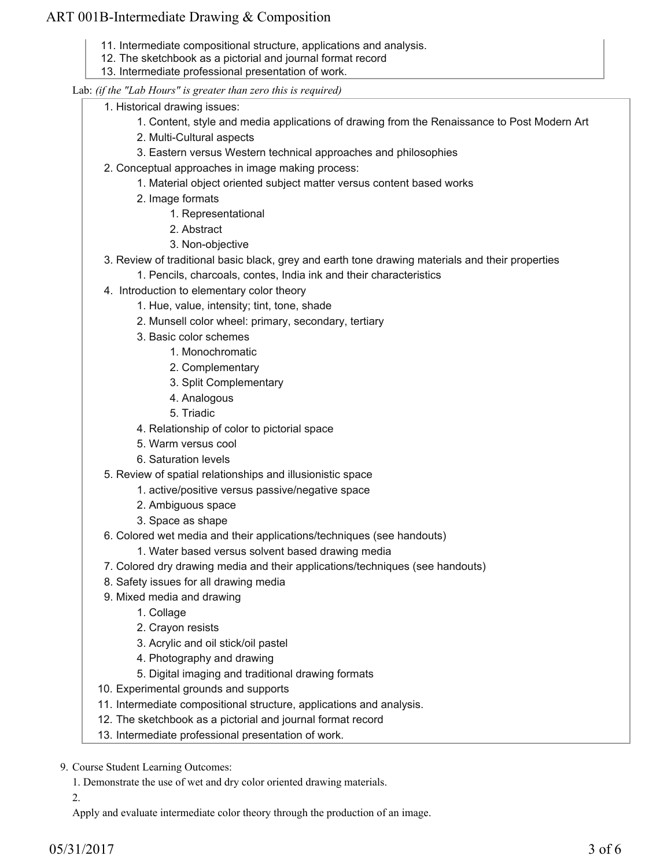- 11. Intermediate compositional structure, applications and analysis.
- 12. The sketchbook as a pictorial and journal format record
- 13. Intermediate professional presentation of work.

### Lab: *(if the "Lab Hours" is greater than zero this is required)*

- 1. Historical drawing issues:
	- 1. Content, style and media applications of drawing from the Renaissance to Post Modern Art
	- 2. Multi-Cultural aspects
	- 3. Eastern versus Western technical approaches and philosophies
	- 2. Conceptual approaches in image making process:
		- 1. Material object oriented subject matter versus content based works
		- 2. Image formats
			- 1. Representational
			- 2. Abstract
			- 3. Non-objective
	- 3. Review of traditional basic black, grey and earth tone drawing materials and their properties
		- 1. Pencils, charcoals, contes, India ink and their characteristics
	- 4. Introduction to elementary color theory
		- 1. Hue, value, intensity; tint, tone, shade
		- 2. Munsell color wheel: primary, secondary, tertiary
		- 3. Basic color schemes
			- 1. Monochromatic
			- 2. Complementary
			- 3. Split Complementary
			- 4. Analogous
			- 5. Triadic
		- 4. Relationship of color to pictorial space
		- 5. Warm versus cool
		- 6. Saturation levels
	- 5. Review of spatial relationships and illusionistic space
		- 1. active/positive versus passive/negative space
		- 2. Ambiguous space
		- 3. Space as shape
	- 6. Colored wet media and their applications/techniques (see handouts)
		- 1. Water based versus solvent based drawing media
	- 7. Colored dry drawing media and their applications/techniques (see handouts)
	- 8. Safety issues for all drawing media
	- 9. Mixed media and drawing
		- 1. Collage
		- 2. Crayon resists
		- 3. Acrylic and oil stick/oil pastel
		- 4. Photography and drawing
		- 5. Digital imaging and traditional drawing formats
- 10. Experimental grounds and supports
- 11. Intermediate compositional structure, applications and analysis.
- 12. The sketchbook as a pictorial and journal format record
- 13. Intermediate professional presentation of work.

9. Course Student Learning Outcomes:

1. Demonstrate the use of wet and dry color oriented drawing materials.

2.

Apply and evaluate intermediate color theory through the production of an image.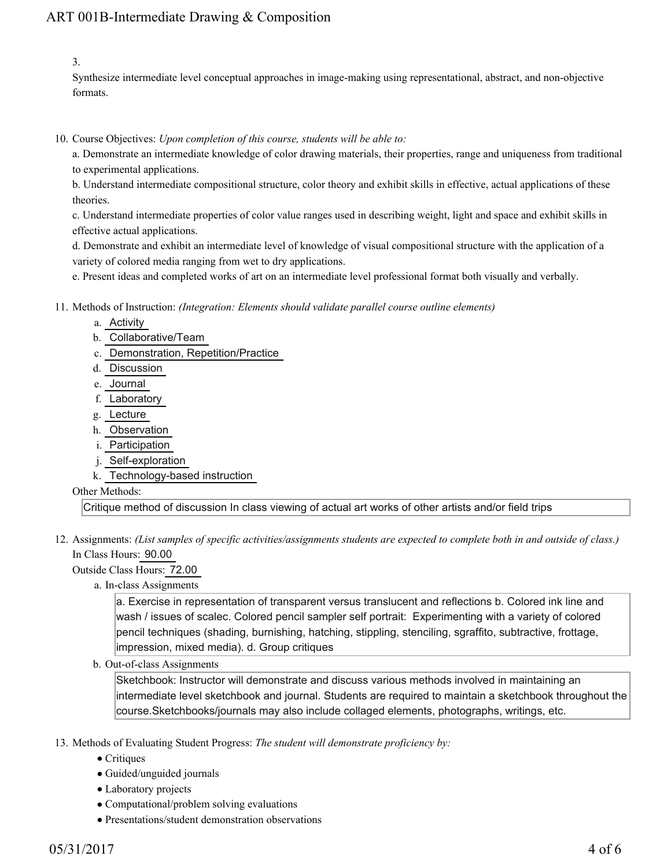3.

Synthesize intermediate level conceptual approaches in image-making using representational, abstract, and non-objective formats.

10. Course Objectives: Upon completion of this course, students will be able to:

a. Demonstrate an intermediate knowledge of color drawing materials, their properties, range and uniqueness from traditional to experimental applications.

b. Understand intermediate compositional structure, color theory and exhibit skills in effective, actual applications of these theories.

c. Understand intermediate properties of color value ranges used in describing weight, light and space and exhibit skills in effective actual applications.

d. Demonstrate and exhibit an intermediate level of knowledge of visual compositional structure with the application of a variety of colored media ranging from wet to dry applications.

e. Present ideas and completed works of art on an intermediate level professional format both visually and verbally.

- Methods of Instruction: *(Integration: Elements should validate parallel course outline elements)* 11.
	- a. Activity
	- b. Collaborative/Team
	- c. Demonstration, Repetition/Practice
	- d. Discussion
	- e. Journal
	- f. Laboratory
	- g. Lecture
	- h. Observation
	- i. Participation
	- j. Self-exploration
	- k. Technology-based instruction

Other Methods:

Critique method of discussion In class viewing of actual art works of other artists and/or field trips

12. Assignments: (List samples of specific activities/assignments students are expected to complete both in and outside of class.) In Class Hours: 90.00

Outside Class Hours: 72.00

a. In-class Assignments

a. Exercise in representation of transparent versus translucent and reflections b. Colored ink line and wash / issues of scalec. Colored pencil sampler self portrait: Experimenting with a variety of colored pencil techniques (shading, burnishing, hatching, stippling, stenciling, sgraffito, subtractive, frottage, impression, mixed media). d. Group critiques

b. Out-of-class Assignments

Sketchbook: Instructor will demonstrate and discuss various methods involved in maintaining an intermediate level sketchbook and journal. Students are required to maintain a sketchbook throughout the course.Sketchbooks/journals may also include collaged elements, photographs, writings, etc.

- 13. Methods of Evaluating Student Progress: The student will demonstrate proficiency by:
	- Critiques
	- Guided/unguided journals
	- Laboratory projects
	- Computational/problem solving evaluations
	- Presentations/student demonstration observations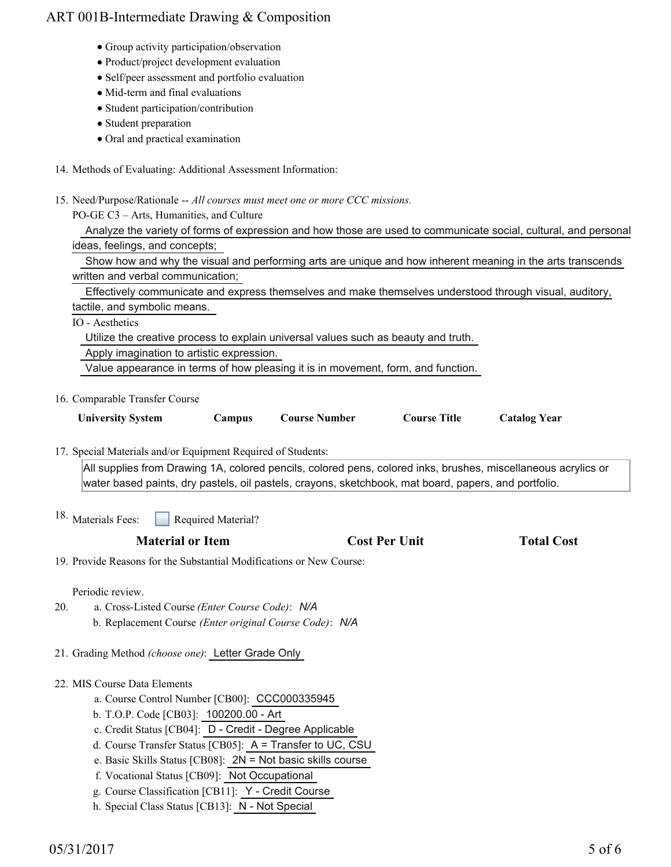- Group activity participation/observation
- Product/project development evaluation
- Self/peer assessment and portfolio evaluation
- Mid-term and final evaluations
- Student participation/contribution
- Student preparation
- Oral and practical examination
- 14. Methods of Evaluating: Additional Assessment Information:
- 15. Need/Purpose/Rationale -- All courses must meet one or more CCC missions.

PO-GE C3 – Arts, Humanities, and Culture

| Analyze the variety of forms of expression and how those are used to communicate social, cultural, and personal |  |  |  |  |
|-----------------------------------------------------------------------------------------------------------------|--|--|--|--|
| ideas, feelings, and concepts;                                                                                  |  |  |  |  |

| Show how and why the visual and performing arts are unique and how inherent meaning in the arts transcends |
|------------------------------------------------------------------------------------------------------------|
| written and verbal communication;                                                                          |

Effectively communicate and express themselves and make themselves understood through visual, auditory,

tactile, and symbolic means.

IO - Aesthetics

Utilize the creative process to explain universal values such as beauty and truth.

Apply imagination to artistic expression.

Value appearance in terms of how pleasing it is in movement, form, and function.

16. Comparable Transfer Course

| <b>University System</b> | Campus | <b>Course Number</b> | <b>Course Title</b> | <b>Catalog Year</b> |
|--------------------------|--------|----------------------|---------------------|---------------------|

17. Special Materials and/or Equipment Required of Students:

All supplies from Drawing 1A, colored pencils, colored pens, colored inks, brushes, miscellaneous acrylics or water based paints, dry pastels, oil pastels, crayons, sketchbook, mat board, papers, and portfolio.

Required Material? <sup>18.</sup> Materials Fees:

### **Material or Item Cost Per Unit Total Cost**

19. Provide Reasons for the Substantial Modifications or New Course:

Periodic review.

- a. Cross-Listed Course *(Enter Course Code)*: *N/A* b. Replacement Course *(Enter original Course Code)*: *N/A* 20.
- 21. Grading Method *(choose one)*: Letter Grade Only
- 22. MIS Course Data Elements
	- a. Course Control Number [CB00]: CCC000335945
	- b. T.O.P. Code [CB03]: 100200.00 Art
	- c. Credit Status [CB04]: D Credit Degree Applicable
	- d. Course Transfer Status [CB05]: A = Transfer to UC, CSU
	- e. Basic Skills Status [CB08]: 2N = Not basic skills course
	- f. Vocational Status [CB09]: Not Occupational
	- g. Course Classification [CB11]: Y Credit Course
	- h. Special Class Status [CB13]: N Not Special